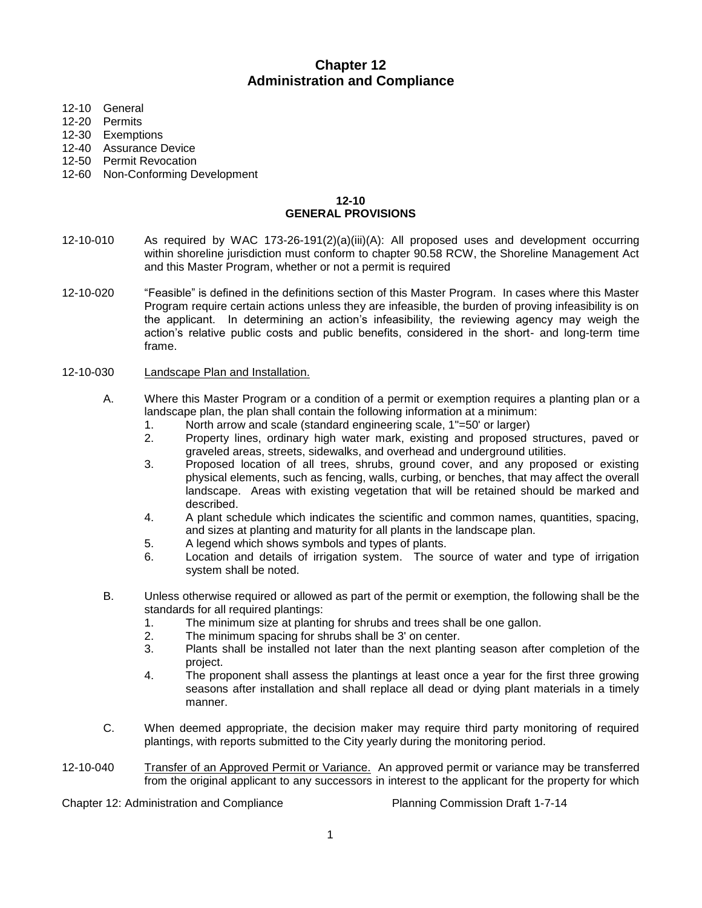# **Chapter 12 Administration and Compliance**

- 12-10 General
- 12-20 Permits
- 12-30 Exemptions
- 12-40 Assurance Device
- 12-50 Permit Revocation
- 12-60 Non-Conforming Development

### **12-10 GENERAL PROVISIONS**

- 12-10-010 As required by WAC 173-26-191(2)(a)(iii)(A): All proposed uses and development occurring within shoreline jurisdiction must conform to chapter 90.58 RCW, the Shoreline Management Act and this Master Program, whether or not a permit is required
- 12-10-020 "Feasible" is defined in the definitions section of this Master Program. In cases where this Master Program require certain actions unless they are infeasible, the burden of proving infeasibility is on the applicant. In determining an action's infeasibility, the reviewing agency may weigh the action's relative public costs and public benefits, considered in the short- and long-term time frame.

#### 12-10-030 Landscape Plan and Installation.

- A. Where this Master Program or a condition of a permit or exemption requires a planting plan or a landscape plan, the plan shall contain the following information at a minimum:
	- 1. North arrow and scale (standard engineering scale, 1"=50' or larger)
	- 2. Property lines, ordinary high water mark, existing and proposed structures, paved or graveled areas, streets, sidewalks, and overhead and underground utilities.
	- 3. Proposed location of all trees, shrubs, ground cover, and any proposed or existing physical elements, such as fencing, walls, curbing, or benches, that may affect the overall landscape. Areas with existing vegetation that will be retained should be marked and described.
	- 4. A plant schedule which indicates the scientific and common names, quantities, spacing, and sizes at planting and maturity for all plants in the landscape plan.
	- 5. A legend which shows symbols and types of plants.
	- 6. Location and details of irrigation system. The source of water and type of irrigation system shall be noted.
- B. Unless otherwise required or allowed as part of the permit or exemption, the following shall be the standards for all required plantings:
	- 1. The minimum size at planting for shrubs and trees shall be one gallon.
	- 2. The minimum spacing for shrubs shall be 3' on center.
	- 3. Plants shall be installed not later than the next planting season after completion of the project.
	- 4. The proponent shall assess the plantings at least once a year for the first three growing seasons after installation and shall replace all dead or dying plant materials in a timely manner.
- C. When deemed appropriate, the decision maker may require third party monitoring of required plantings, with reports submitted to the City yearly during the monitoring period.
- 12-10-040 Transfer of an Approved Permit or Variance. An approved permit or variance may be transferred from the original applicant to any successors in interest to the applicant for the property for which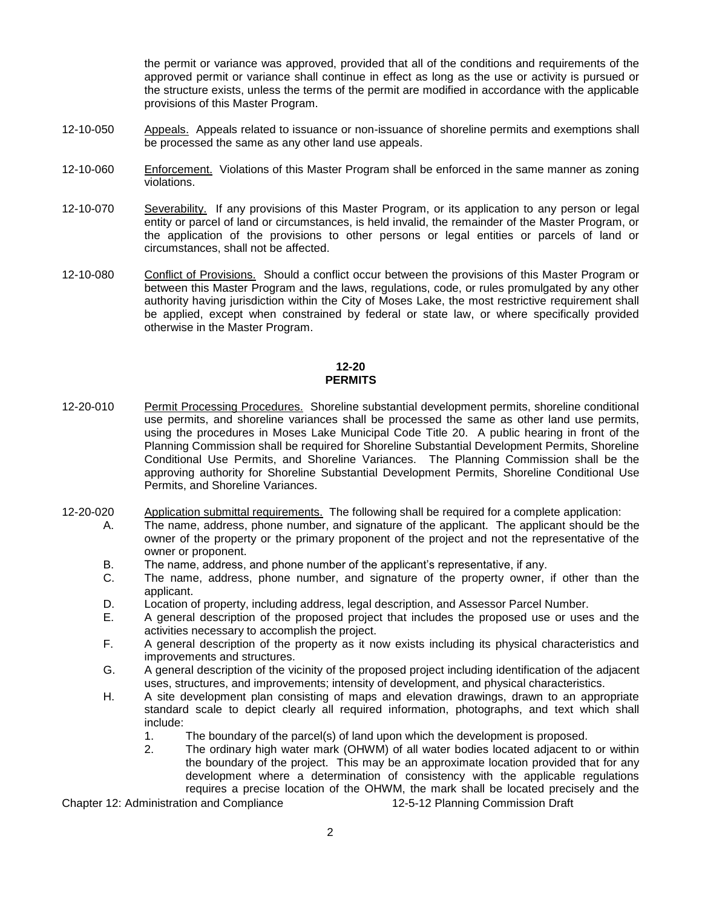the permit or variance was approved, provided that all of the conditions and requirements of the approved permit or variance shall continue in effect as long as the use or activity is pursued or the structure exists, unless the terms of the permit are modified in accordance with the applicable provisions of this Master Program.

- 12-10-050 Appeals. Appeals related to issuance or non-issuance of shoreline permits and exemptions shall be processed the same as any other land use appeals.
- 12-10-060 Enforcement. Violations of this Master Program shall be enforced in the same manner as zoning violations.
- 12-10-070 Severability. If any provisions of this Master Program, or its application to any person or legal entity or parcel of land or circumstances, is held invalid, the remainder of the Master Program, or the application of the provisions to other persons or legal entities or parcels of land or circumstances, shall not be affected.
- 12-10-080 Conflict of Provisions. Should a conflict occur between the provisions of this Master Program or between this Master Program and the laws, regulations, code, or rules promulgated by any other authority having jurisdiction within the City of Moses Lake, the most restrictive requirement shall be applied, except when constrained by federal or state law, or where specifically provided otherwise in the Master Program.

### **12-20 PERMITS**

- 12-20-010 Permit Processing Procedures. Shoreline substantial development permits, shoreline conditional use permits, and shoreline variances shall be processed the same as other land use permits, using the procedures in Moses Lake Municipal Code Title 20. A public hearing in front of the Planning Commission shall be required for Shoreline Substantial Development Permits, Shoreline Conditional Use Permits, and Shoreline Variances. The Planning Commission shall be the approving authority for Shoreline Substantial Development Permits, Shoreline Conditional Use Permits, and Shoreline Variances.
- 12-20-020 Application submittal requirements. The following shall be required for a complete application:
	- A. The name, address, phone number, and signature of the applicant. The applicant should be the owner of the property or the primary proponent of the project and not the representative of the owner or proponent.
		- B. The name, address, and phone number of the applicant's representative, if any.
		- C. The name, address, phone number, and signature of the property owner, if other than the applicant.
		- D. Location of property, including address, legal description, and Assessor Parcel Number.
		- E. A general description of the proposed project that includes the proposed use or uses and the activities necessary to accomplish the project.
		- F. A general description of the property as it now exists including its physical characteristics and improvements and structures.
		- G. A general description of the vicinity of the proposed project including identification of the adjacent uses, structures, and improvements; intensity of development, and physical characteristics.
		- H. A site development plan consisting of maps and elevation drawings, drawn to an appropriate standard scale to depict clearly all required information, photographs, and text which shall include:
			- 1. The boundary of the parcel(s) of land upon which the development is proposed.
			- 2. The ordinary high water mark (OHWM) of all water bodies located adjacent to or within the boundary of the project. This may be an approximate location provided that for any development where a determination of consistency with the applicable regulations requires a precise location of the OHWM, the mark shall be located precisely and the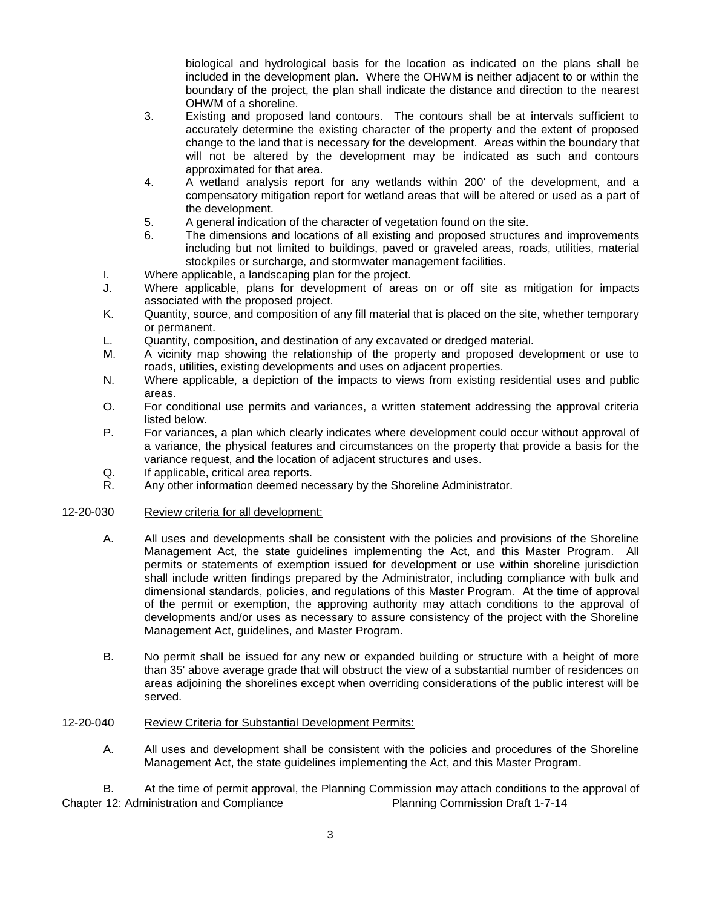biological and hydrological basis for the location as indicated on the plans shall be included in the development plan. Where the OHWM is neither adjacent to or within the boundary of the project, the plan shall indicate the distance and direction to the nearest OHWM of a shoreline.

- 3. Existing and proposed land contours. The contours shall be at intervals sufficient to accurately determine the existing character of the property and the extent of proposed change to the land that is necessary for the development. Areas within the boundary that will not be altered by the development may be indicated as such and contours approximated for that area.
- 4. A wetland analysis report for any wetlands within 200' of the development, and a compensatory mitigation report for wetland areas that will be altered or used as a part of the development.
- 5. A general indication of the character of vegetation found on the site.
- 6. The dimensions and locations of all existing and proposed structures and improvements including but not limited to buildings, paved or graveled areas, roads, utilities, material stockpiles or surcharge, and stormwater management facilities.
- I. Where applicable, a landscaping plan for the project.
- J. Where applicable, plans for development of areas on or off site as mitigation for impacts associated with the proposed project.
- K. Quantity, source, and composition of any fill material that is placed on the site, whether temporary or permanent.
- L. Quantity, composition, and destination of any excavated or dredged material.
- M. A vicinity map showing the relationship of the property and proposed development or use to roads, utilities, existing developments and uses on adjacent properties.
- N. Where applicable, a depiction of the impacts to views from existing residential uses and public areas.
- O. For conditional use permits and variances, a written statement addressing the approval criteria listed below.
- P. For variances, a plan which clearly indicates where development could occur without approval of a variance, the physical features and circumstances on the property that provide a basis for the variance request, and the location of adjacent structures and uses.
- Q. If applicable, critical area reports.
- R. Any other information deemed necessary by the Shoreline Administrator.

### 12-20-030 Review criteria for all development:

- A. All uses and developments shall be consistent with the policies and provisions of the Shoreline Management Act, the state guidelines implementing the Act, and this Master Program. All permits or statements of exemption issued for development or use within shoreline jurisdiction shall include written findings prepared by the Administrator, including compliance with bulk and dimensional standards, policies, and regulations of this Master Program. At the time of approval of the permit or exemption, the approving authority may attach conditions to the approval of developments and/or uses as necessary to assure consistency of the project with the Shoreline Management Act, guidelines, and Master Program.
- B. No permit shall be issued for any new or expanded building or structure with a height of more than 35' above average grade that will obstruct the view of a substantial number of residences on areas adjoining the shorelines except when overriding considerations of the public interest will be served.

### 12-20-040 Review Criteria for Substantial Development Permits:

A. All uses and development shall be consistent with the policies and procedures of the Shoreline Management Act, the state guidelines implementing the Act, and this Master Program.

Chapter 12: Administration and Compliance Planning Commission Draft 1-7-14 B. At the time of permit approval, the Planning Commission may attach conditions to the approval of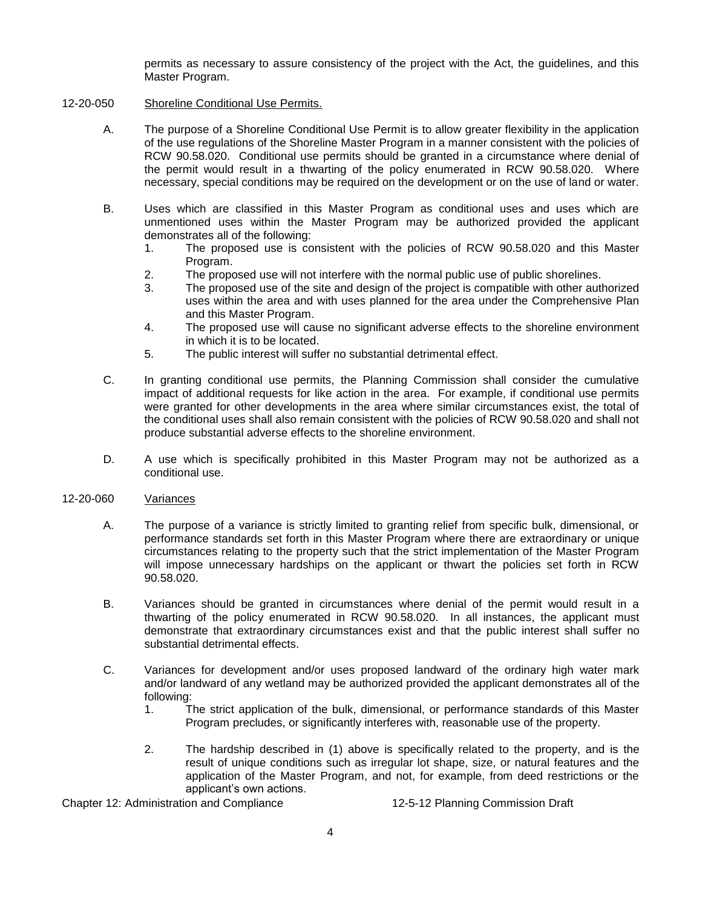permits as necessary to assure consistency of the project with the Act, the guidelines, and this Master Program.

### 12-20-050 Shoreline Conditional Use Permits.

- A. The purpose of a Shoreline Conditional Use Permit is to allow greater flexibility in the application of the use regulations of the Shoreline Master Program in a manner consistent with the policies of RCW 90.58.020. Conditional use permits should be granted in a circumstance where denial of the permit would result in a thwarting of the policy enumerated in RCW 90.58.020. Where necessary, special conditions may be required on the development or on the use of land or water.
- B. Uses which are classified in this Master Program as conditional uses and uses which are unmentioned uses within the Master Program may be authorized provided the applicant demonstrates all of the following:
	- 1. The proposed use is consistent with the policies of RCW 90.58.020 and this Master Program.
	- 2. The proposed use will not interfere with the normal public use of public shorelines.
	- 3. The proposed use of the site and design of the project is compatible with other authorized uses within the area and with uses planned for the area under the Comprehensive Plan and this Master Program.
	- 4. The proposed use will cause no significant adverse effects to the shoreline environment in which it is to be located.
	- 5. The public interest will suffer no substantial detrimental effect.
- C. In granting conditional use permits, the Planning Commission shall consider the cumulative impact of additional requests for like action in the area. For example, if conditional use permits were granted for other developments in the area where similar circumstances exist, the total of the conditional uses shall also remain consistent with the policies of RCW 90.58.020 and shall not produce substantial adverse effects to the shoreline environment.
- D. A use which is specifically prohibited in this Master Program may not be authorized as a conditional use.

### 12-20-060 Variances

- A. The purpose of a variance is strictly limited to granting relief from specific bulk, dimensional, or performance standards set forth in this Master Program where there are extraordinary or unique circumstances relating to the property such that the strict implementation of the Master Program will impose unnecessary hardships on the applicant or thwart the policies set forth in RCW 90.58.020.
- B. Variances should be granted in circumstances where denial of the permit would result in a thwarting of the policy enumerated in RCW 90.58.020. In all instances, the applicant must demonstrate that extraordinary circumstances exist and that the public interest shall suffer no substantial detrimental effects.
- C. Variances for development and/or uses proposed landward of the ordinary high water mark and/or landward of any wetland may be authorized provided the applicant demonstrates all of the following:
	- 1. The strict application of the bulk, dimensional, or performance standards of this Master Program precludes, or significantly interferes with, reasonable use of the property.
	- 2. The hardship described in (1) above is specifically related to the property, and is the result of unique conditions such as irregular lot shape, size, or natural features and the application of the Master Program, and not, for example, from deed restrictions or the applicant's own actions.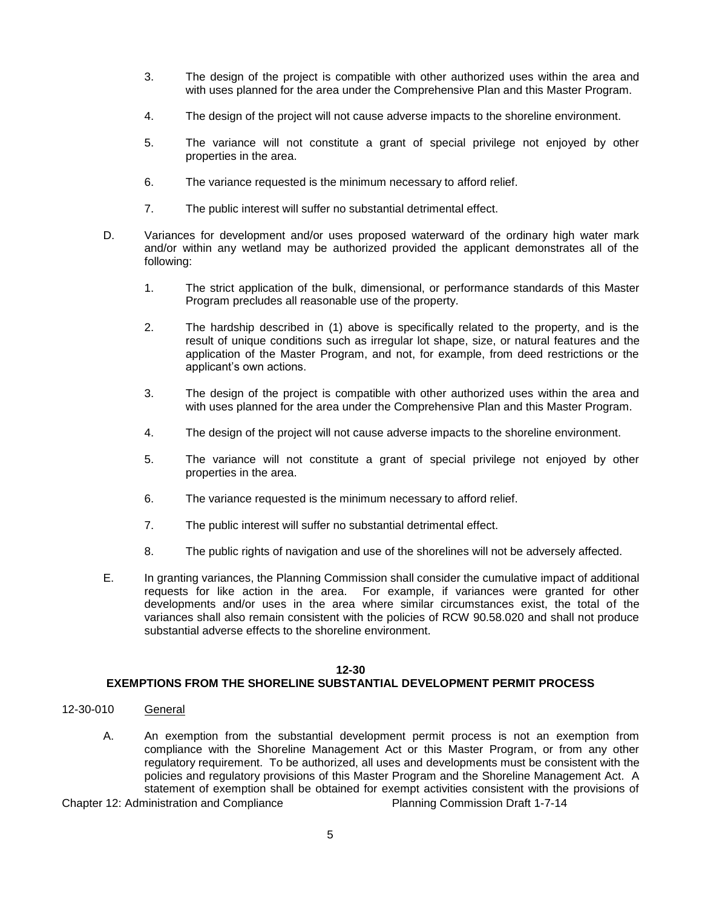- 3. The design of the project is compatible with other authorized uses within the area and with uses planned for the area under the Comprehensive Plan and this Master Program.
- 4. The design of the project will not cause adverse impacts to the shoreline environment.
- 5. The variance will not constitute a grant of special privilege not enjoyed by other properties in the area.
- 6. The variance requested is the minimum necessary to afford relief.
- 7. The public interest will suffer no substantial detrimental effect.
- D. Variances for development and/or uses proposed waterward of the ordinary high water mark and/or within any wetland may be authorized provided the applicant demonstrates all of the following:
	- 1. The strict application of the bulk, dimensional, or performance standards of this Master Program precludes all reasonable use of the property.
	- 2. The hardship described in (1) above is specifically related to the property, and is the result of unique conditions such as irregular lot shape, size, or natural features and the application of the Master Program, and not, for example, from deed restrictions or the applicant's own actions.
	- 3. The design of the project is compatible with other authorized uses within the area and with uses planned for the area under the Comprehensive Plan and this Master Program.
	- 4. The design of the project will not cause adverse impacts to the shoreline environment.
	- 5. The variance will not constitute a grant of special privilege not enjoyed by other properties in the area.
	- 6. The variance requested is the minimum necessary to afford relief.
	- 7. The public interest will suffer no substantial detrimental effect.
	- 8. The public rights of navigation and use of the shorelines will not be adversely affected.
- E. In granting variances, the Planning Commission shall consider the cumulative impact of additional requests for like action in the area. For example, if variances were granted for other developments and/or uses in the area where similar circumstances exist, the total of the variances shall also remain consistent with the policies of RCW 90.58.020 and shall not produce substantial adverse effects to the shoreline environment.

### **12-30**

## **EXEMPTIONS FROM THE SHORELINE SUBSTANTIAL DEVELOPMENT PERMIT PROCESS**

- 12-30-010 General
	- A. An exemption from the substantial development permit process is not an exemption from compliance with the Shoreline Management Act or this Master Program, or from any other regulatory requirement. To be authorized, all uses and developments must be consistent with the policies and regulatory provisions of this Master Program and the Shoreline Management Act. A statement of exemption shall be obtained for exempt activities consistent with the provisions of
- Chapter 12: Administration and Compliance Planning Commission Draft 1-7-14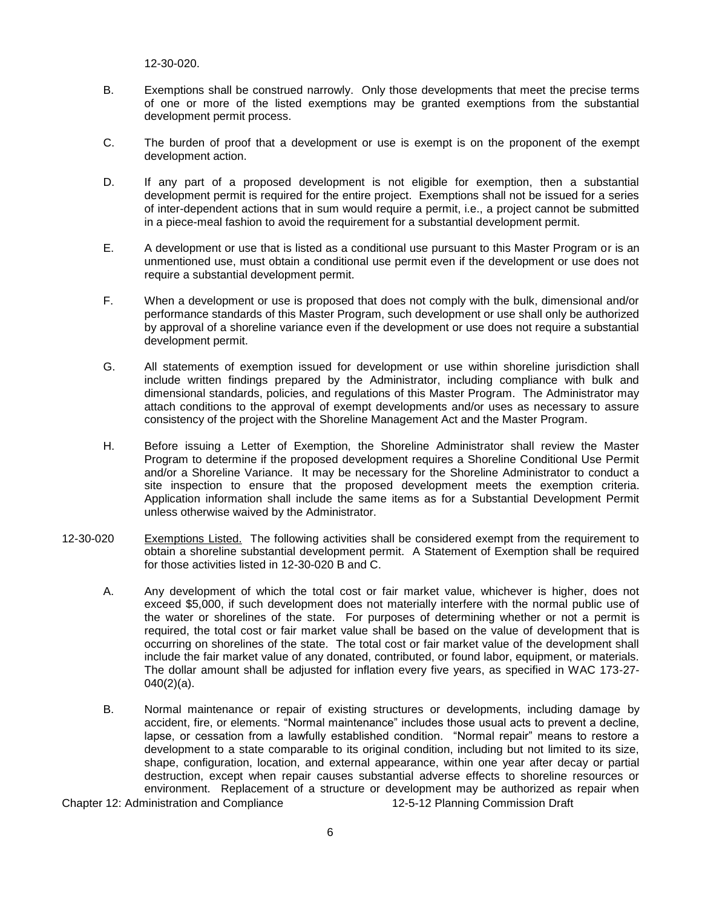12-30-020.

- B. Exemptions shall be construed narrowly. Only those developments that meet the precise terms of one or more of the listed exemptions may be granted exemptions from the substantial development permit process.
- C. The burden of proof that a development or use is exempt is on the proponent of the exempt development action.
- D. If any part of a proposed development is not eligible for exemption, then a substantial development permit is required for the entire project. Exemptions shall not be issued for a series of inter-dependent actions that in sum would require a permit, i.e., a project cannot be submitted in a piece-meal fashion to avoid the requirement for a substantial development permit.
- E. A development or use that is listed as a conditional use pursuant to this Master Program or is an unmentioned use, must obtain a conditional use permit even if the development or use does not require a substantial development permit.
- F. When a development or use is proposed that does not comply with the bulk, dimensional and/or performance standards of this Master Program, such development or use shall only be authorized by approval of a shoreline variance even if the development or use does not require a substantial development permit.
- G. All statements of exemption issued for development or use within shoreline jurisdiction shall include written findings prepared by the Administrator, including compliance with bulk and dimensional standards, policies, and regulations of this Master Program. The Administrator may attach conditions to the approval of exempt developments and/or uses as necessary to assure consistency of the project with the Shoreline Management Act and the Master Program.
- H. Before issuing a Letter of Exemption, the Shoreline Administrator shall review the Master Program to determine if the proposed development requires a Shoreline Conditional Use Permit and/or a Shoreline Variance. It may be necessary for the Shoreline Administrator to conduct a site inspection to ensure that the proposed development meets the exemption criteria. Application information shall include the same items as for a Substantial Development Permit unless otherwise waived by the Administrator.
- 12-30-020 Exemptions Listed. The following activities shall be considered exempt from the requirement to obtain a shoreline substantial development permit. A Statement of Exemption shall be required for those activities listed in 12-30-020 B and C.
	- A. Any development of which the total cost or fair market value, whichever is higher, does not exceed \$5,000, if such development does not materially interfere with the normal public use of the water or shorelines of the state. For purposes of determining whether or not a permit is required, the total cost or fair market value shall be based on the value of development that is occurring on shorelines of the state. The total cost or fair market value of the development shall include the fair market value of any donated, contributed, or found labor, equipment, or materials. The dollar amount shall be adjusted for inflation every five years, as specified in WAC 173-27-  $040(2)(a)$ .
	- B. Normal maintenance or repair of existing structures or developments, including damage by accident, fire, or elements. "Normal maintenance" includes those usual acts to prevent a decline, lapse, or cessation from a lawfully established condition. "Normal repair" means to restore a development to a state comparable to its original condition, including but not limited to its size, shape, configuration, location, and external appearance, within one year after decay or partial destruction, except when repair causes substantial adverse effects to shoreline resources or environment. Replacement of a structure or development may be authorized as repair when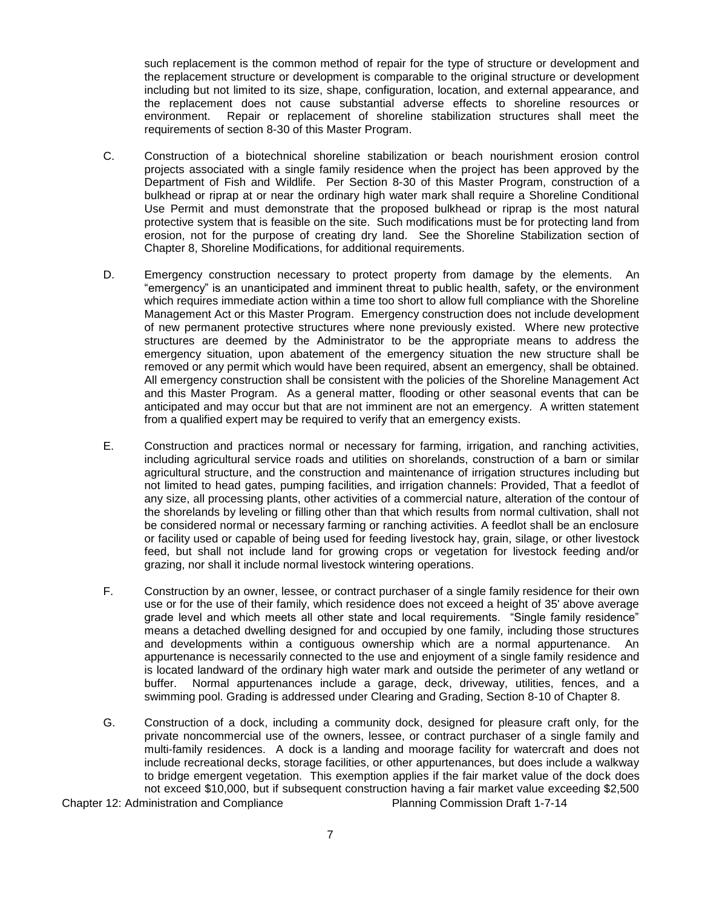such replacement is the common method of repair for the type of structure or development and the replacement structure or development is comparable to the original structure or development including but not limited to its size, shape, configuration, location, and external appearance, and the replacement does not cause substantial adverse effects to shoreline resources or environment. Repair or replacement of shoreline stabilization structures shall meet the requirements of section 8-30 of this Master Program.

- C. Construction of a biotechnical shoreline stabilization or beach nourishment erosion control projects associated with a single family residence when the project has been approved by the Department of Fish and Wildlife. Per Section 8-30 of this Master Program, construction of a bulkhead or riprap at or near the ordinary high water mark shall require a Shoreline Conditional Use Permit and must demonstrate that the proposed bulkhead or riprap is the most natural protective system that is feasible on the site. Such modifications must be for protecting land from erosion, not for the purpose of creating dry land. See the Shoreline Stabilization section of Chapter 8, Shoreline Modifications, for additional requirements.
- D. Emergency construction necessary to protect property from damage by the elements. An "emergency" is an unanticipated and imminent threat to public health, safety, or the environment which requires immediate action within a time too short to allow full compliance with the Shoreline Management Act or this Master Program. Emergency construction does not include development of new permanent protective structures where none previously existed. Where new protective structures are deemed by the Administrator to be the appropriate means to address the emergency situation, upon abatement of the emergency situation the new structure shall be removed or any permit which would have been required, absent an emergency, shall be obtained. All emergency construction shall be consistent with the policies of the Shoreline Management Act and this Master Program. As a general matter, flooding or other seasonal events that can be anticipated and may occur but that are not imminent are not an emergency. A written statement from a qualified expert may be required to verify that an emergency exists.
- E. Construction and practices normal or necessary for farming, irrigation, and ranching activities, including agricultural service roads and utilities on shorelands, construction of a barn or similar agricultural structure, and the construction and maintenance of irrigation structures including but not limited to head gates, pumping facilities, and irrigation channels: Provided, That a feedlot of any size, all processing plants, other activities of a commercial nature, alteration of the contour of the shorelands by leveling or filling other than that which results from normal cultivation, shall not be considered normal or necessary farming or ranching activities. A feedlot shall be an enclosure or facility used or capable of being used for feeding livestock hay, grain, silage, or other livestock feed, but shall not include land for growing crops or vegetation for livestock feeding and/or grazing, nor shall it include normal livestock wintering operations.
- F. Construction by an owner, lessee, or contract purchaser of a single family residence for their own use or for the use of their family, which residence does not exceed a height of 35' above average grade level and which meets all other state and local requirements. "Single family residence" means a detached dwelling designed for and occupied by one family, including those structures and developments within a contiguous ownership which are a normal appurtenance. An appurtenance is necessarily connected to the use and enjoyment of a single family residence and is located landward of the ordinary high water mark and outside the perimeter of any wetland or buffer. Normal appurtenances include a garage, deck, driveway, utilities, fences, and a swimming pool. Grading is addressed under Clearing and Grading, Section 8-10 of Chapter 8.
- G. Construction of a dock, including a community dock, designed for pleasure craft only, for the private noncommercial use of the owners, lessee, or contract purchaser of a single family and multi-family residences. A dock is a landing and moorage facility for watercraft and does not include recreational decks, storage facilities, or other appurtenances, but does include a walkway to bridge emergent vegetation. This exemption applies if the fair market value of the dock does not exceed \$10,000, but if subsequent construction having a fair market value exceeding \$2,500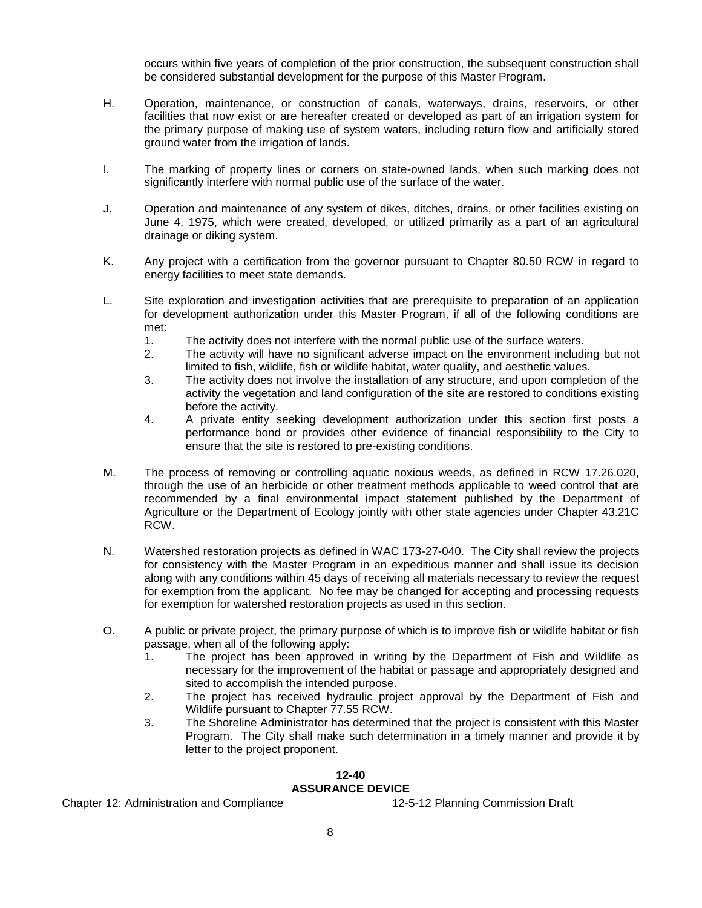occurs within five years of completion of the prior construction, the subsequent construction shall be considered substantial development for the purpose of this Master Program.

- H. Operation, maintenance, or construction of canals, waterways, drains, reservoirs, or other facilities that now exist or are hereafter created or developed as part of an irrigation system for the primary purpose of making use of system waters, including return flow and artificially stored ground water from the irrigation of lands.
- I. The marking of property lines or corners on state-owned lands, when such marking does not significantly interfere with normal public use of the surface of the water.
- J. Operation and maintenance of any system of dikes, ditches, drains, or other facilities existing on June 4, 1975, which were created, developed, or utilized primarily as a part of an agricultural drainage or diking system.
- K. Any project with a certification from the governor pursuant to Chapter 80.50 RCW in regard to energy facilities to meet state demands.
- L. Site exploration and investigation activities that are prerequisite to preparation of an application for development authorization under this Master Program, if all of the following conditions are met:
	- 1. The activity does not interfere with the normal public use of the surface waters.
	- 2. The activity will have no significant adverse impact on the environment including but not limited to fish, wildlife, fish or wildlife habitat, water quality, and aesthetic values.
	- 3. The activity does not involve the installation of any structure, and upon completion of the activity the vegetation and land configuration of the site are restored to conditions existing before the activity.
	- 4. A private entity seeking development authorization under this section first posts a performance bond or provides other evidence of financial responsibility to the City to ensure that the site is restored to pre-existing conditions.
- M. The process of removing or controlling aquatic noxious weeds, as defined in RCW 17.26.020, through the use of an herbicide or other treatment methods applicable to weed control that are recommended by a final environmental impact statement published by the Department of Agriculture or the Department of Ecology jointly with other state agencies under Chapter 43.21C RCW.
- N. Watershed restoration projects as defined in WAC 173-27-040. The City shall review the projects for consistency with the Master Program in an expeditious manner and shall issue its decision along with any conditions within 45 days of receiving all materials necessary to review the request for exemption from the applicant. No fee may be changed for accepting and processing requests for exemption for watershed restoration projects as used in this section.
- O. A public or private project, the primary purpose of which is to improve fish or wildlife habitat or fish passage, when all of the following apply:
	- 1. The project has been approved in writing by the Department of Fish and Wildlife as necessary for the improvement of the habitat or passage and appropriately designed and sited to accomplish the intended purpose.
	- 2. The project has received hydraulic project approval by the Department of Fish and Wildlife pursuant to Chapter 77.55 RCW.
	- 3. The Shoreline Administrator has determined that the project is consistent with this Master Program. The City shall make such determination in a timely manner and provide it by letter to the project proponent.

## **12-40 ASSURANCE DEVICE**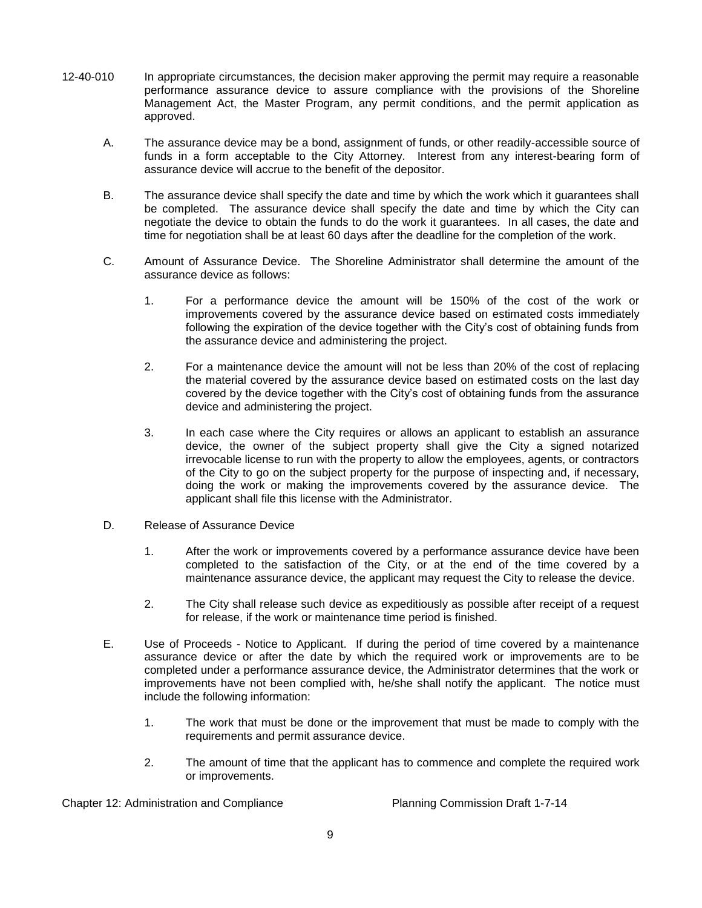- 12-40-010 In appropriate circumstances, the decision maker approving the permit may require a reasonable performance assurance device to assure compliance with the provisions of the Shoreline Management Act, the Master Program, any permit conditions, and the permit application as approved.
	- A. The assurance device may be a bond, assignment of funds, or other readily-accessible source of funds in a form acceptable to the City Attorney. Interest from any interest-bearing form of assurance device will accrue to the benefit of the depositor.
	- B. The assurance device shall specify the date and time by which the work which it guarantees shall be completed. The assurance device shall specify the date and time by which the City can negotiate the device to obtain the funds to do the work it guarantees. In all cases, the date and time for negotiation shall be at least 60 days after the deadline for the completion of the work.
	- C. Amount of Assurance Device. The Shoreline Administrator shall determine the amount of the assurance device as follows:
		- 1. For a performance device the amount will be 150% of the cost of the work or improvements covered by the assurance device based on estimated costs immediately following the expiration of the device together with the City's cost of obtaining funds from the assurance device and administering the project.
		- 2. For a maintenance device the amount will not be less than 20% of the cost of replacing the material covered by the assurance device based on estimated costs on the last day covered by the device together with the City's cost of obtaining funds from the assurance device and administering the project.
		- 3. In each case where the City requires or allows an applicant to establish an assurance device, the owner of the subject property shall give the City a signed notarized irrevocable license to run with the property to allow the employees, agents, or contractors of the City to go on the subject property for the purpose of inspecting and, if necessary, doing the work or making the improvements covered by the assurance device. The applicant shall file this license with the Administrator.
	- D. Release of Assurance Device
		- 1. After the work or improvements covered by a performance assurance device have been completed to the satisfaction of the City, or at the end of the time covered by a maintenance assurance device, the applicant may request the City to release the device.
		- 2. The City shall release such device as expeditiously as possible after receipt of a request for release, if the work or maintenance time period is finished.
	- E. Use of Proceeds Notice to Applicant. If during the period of time covered by a maintenance assurance device or after the date by which the required work or improvements are to be completed under a performance assurance device, the Administrator determines that the work or improvements have not been complied with, he/she shall notify the applicant. The notice must include the following information:
		- 1. The work that must be done or the improvement that must be made to comply with the requirements and permit assurance device.
		- 2. The amount of time that the applicant has to commence and complete the required work or improvements.

Chapter 12: Administration and Compliance Planning Commission Draft 1-7-14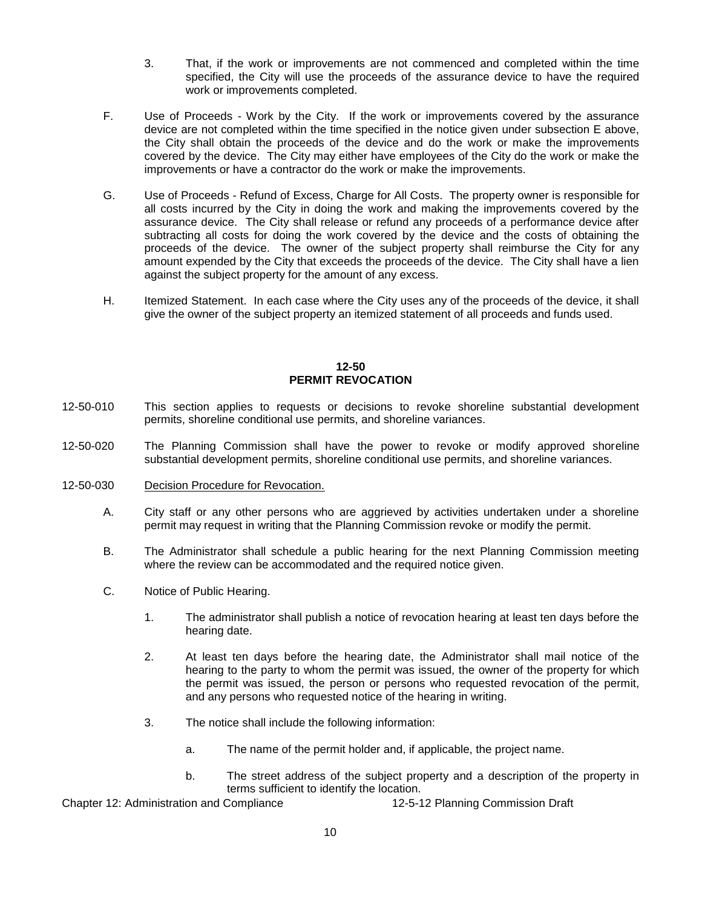- 3. That, if the work or improvements are not commenced and completed within the time specified, the City will use the proceeds of the assurance device to have the required work or improvements completed.
- F. Use of Proceeds Work by the City. If the work or improvements covered by the assurance device are not completed within the time specified in the notice given under subsection E above, the City shall obtain the proceeds of the device and do the work or make the improvements covered by the device. The City may either have employees of the City do the work or make the improvements or have a contractor do the work or make the improvements.
- G. Use of Proceeds Refund of Excess, Charge for All Costs. The property owner is responsible for all costs incurred by the City in doing the work and making the improvements covered by the assurance device. The City shall release or refund any proceeds of a performance device after subtracting all costs for doing the work covered by the device and the costs of obtaining the proceeds of the device. The owner of the subject property shall reimburse the City for any amount expended by the City that exceeds the proceeds of the device. The City shall have a lien against the subject property for the amount of any excess.
- H. Itemized Statement. In each case where the City uses any of the proceeds of the device, it shall give the owner of the subject property an itemized statement of all proceeds and funds used.

### **12-50 PERMIT REVOCATION**

- 12-50-010 This section applies to requests or decisions to revoke shoreline substantial development permits, shoreline conditional use permits, and shoreline variances.
- 12-50-020 The Planning Commission shall have the power to revoke or modify approved shoreline substantial development permits, shoreline conditional use permits, and shoreline variances.
- 12-50-030 Decision Procedure for Revocation.
	- A. City staff or any other persons who are aggrieved by activities undertaken under a shoreline permit may request in writing that the Planning Commission revoke or modify the permit.
	- B. The Administrator shall schedule a public hearing for the next Planning Commission meeting where the review can be accommodated and the required notice given.
	- C. Notice of Public Hearing.
		- 1. The administrator shall publish a notice of revocation hearing at least ten days before the hearing date.
		- 2. At least ten days before the hearing date, the Administrator shall mail notice of the hearing to the party to whom the permit was issued, the owner of the property for which the permit was issued, the person or persons who requested revocation of the permit, and any persons who requested notice of the hearing in writing.
		- 3. The notice shall include the following information:
			- a. The name of the permit holder and, if applicable, the project name.
			- b. The street address of the subject property and a description of the property in terms sufficient to identify the location.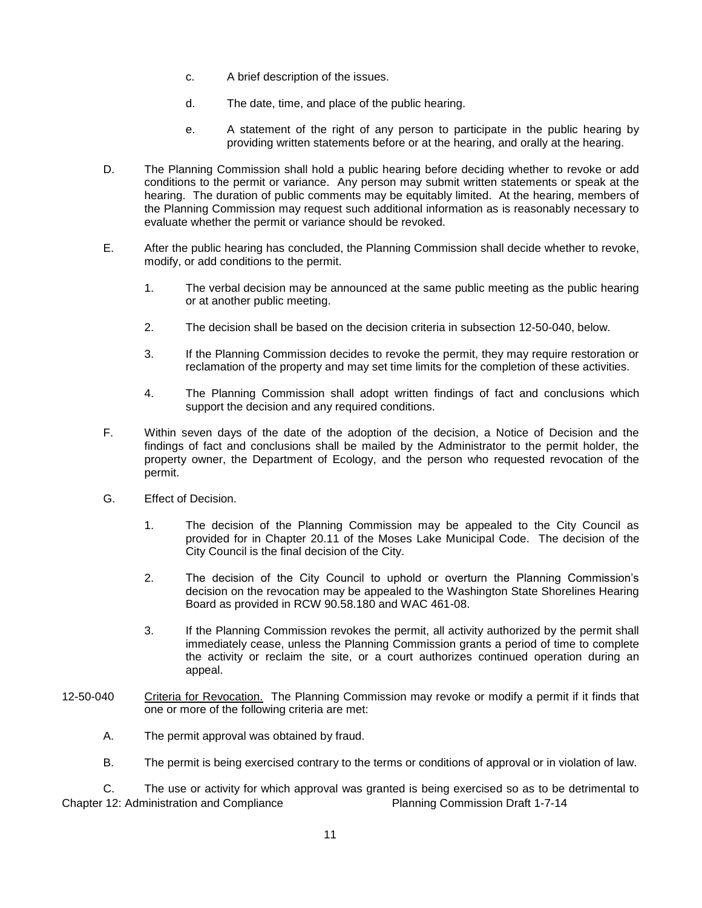- c. A brief description of the issues.
- d. The date, time, and place of the public hearing.
- e. A statement of the right of any person to participate in the public hearing by providing written statements before or at the hearing, and orally at the hearing.
- D. The Planning Commission shall hold a public hearing before deciding whether to revoke or add conditions to the permit or variance. Any person may submit written statements or speak at the hearing. The duration of public comments may be equitably limited. At the hearing, members of the Planning Commission may request such additional information as is reasonably necessary to evaluate whether the permit or variance should be revoked.
- E. After the public hearing has concluded, the Planning Commission shall decide whether to revoke, modify, or add conditions to the permit.
	- 1. The verbal decision may be announced at the same public meeting as the public hearing or at another public meeting.
	- 2. The decision shall be based on the decision criteria in subsection 12-50-040, below.
	- 3. If the Planning Commission decides to revoke the permit, they may require restoration or reclamation of the property and may set time limits for the completion of these activities.
	- 4. The Planning Commission shall adopt written findings of fact and conclusions which support the decision and any required conditions.
- F. Within seven days of the date of the adoption of the decision, a Notice of Decision and the findings of fact and conclusions shall be mailed by the Administrator to the permit holder, the property owner, the Department of Ecology, and the person who requested revocation of the permit.
- G. Effect of Decision.
	- 1. The decision of the Planning Commission may be appealed to the City Council as provided for in Chapter 20.11 of the Moses Lake Municipal Code. The decision of the City Council is the final decision of the City.
	- 2. The decision of the City Council to uphold or overturn the Planning Commission's decision on the revocation may be appealed to the Washington State Shorelines Hearing Board as provided in RCW 90.58.180 and WAC 461-08.
	- 3. If the Planning Commission revokes the permit, all activity authorized by the permit shall immediately cease, unless the Planning Commission grants a period of time to complete the activity or reclaim the site, or a court authorizes continued operation during an appeal.
- 12-50-040 Criteria for Revocation. The Planning Commission may revoke or modify a permit if it finds that one or more of the following criteria are met:
	- A. The permit approval was obtained by fraud.
	- B. The permit is being exercised contrary to the terms or conditions of approval or in violation of law.

Chapter 12: Administration and Compliance Planning Commission Draft 1-7-14 C. The use or activity for which approval was granted is being exercised so as to be detrimental to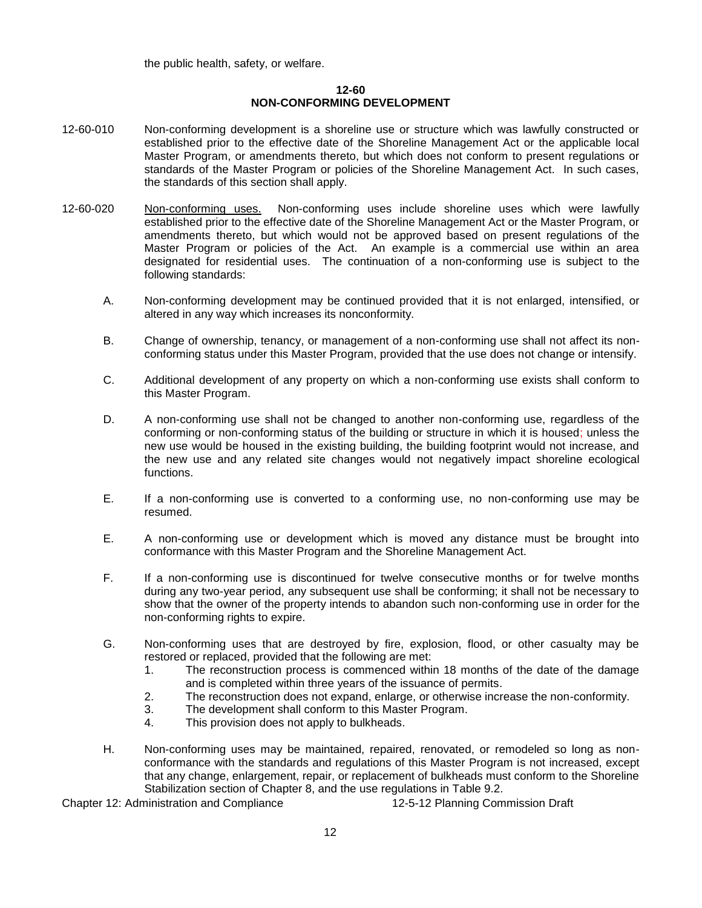the public health, safety, or welfare.

### **12-60 NON-CONFORMING DEVELOPMENT**

- 12-60-010 Non-conforming development is a shoreline use or structure which was lawfully constructed or established prior to the effective date of the Shoreline Management Act or the applicable local Master Program, or amendments thereto, but which does not conform to present regulations or standards of the Master Program or policies of the Shoreline Management Act. In such cases, the standards of this section shall apply.
- 12-60-020 Non-conforming uses. Non-conforming uses include shoreline uses which were lawfully established prior to the effective date of the Shoreline Management Act or the Master Program, or amendments thereto, but which would not be approved based on present regulations of the Master Program or policies of the Act. An example is a commercial use within an area designated for residential uses. The continuation of a non-conforming use is subject to the following standards:
	- A. Non-conforming development may be continued provided that it is not enlarged, intensified, or altered in any way which increases its nonconformity.
	- B. Change of ownership, tenancy, or management of a non-conforming use shall not affect its nonconforming status under this Master Program, provided that the use does not change or intensify.
	- C. Additional development of any property on which a non-conforming use exists shall conform to this Master Program.
	- D. A non-conforming use shall not be changed to another non-conforming use, regardless of the conforming or non-conforming status of the building or structure in which it is housed; unless the new use would be housed in the existing building, the building footprint would not increase, and the new use and any related site changes would not negatively impact shoreline ecological functions.
	- E. If a non-conforming use is converted to a conforming use, no non-conforming use may be resumed.
	- E. A non-conforming use or development which is moved any distance must be brought into conformance with this Master Program and the Shoreline Management Act.
	- F. If a non-conforming use is discontinued for twelve consecutive months or for twelve months during any two-year period, any subsequent use shall be conforming; it shall not be necessary to show that the owner of the property intends to abandon such non-conforming use in order for the non-conforming rights to expire.
	- G. Non-conforming uses that are destroyed by fire, explosion, flood, or other casualty may be restored or replaced, provided that the following are met:
		- 1. The reconstruction process is commenced within 18 months of the date of the damage and is completed within three years of the issuance of permits.
		- 2. The reconstruction does not expand, enlarge, or otherwise increase the non-conformity.
		- 3. The development shall conform to this Master Program.
		- 4. This provision does not apply to bulkheads.
	- H. Non-conforming uses may be maintained, repaired, renovated, or remodeled so long as nonconformance with the standards and regulations of this Master Program is not increased, except that any change, enlargement, repair, or replacement of bulkheads must conform to the Shoreline Stabilization section of Chapter 8, and the use regulations in Table 9.2.